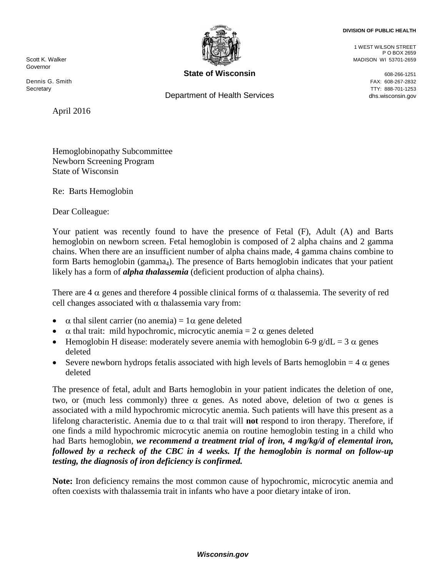## **DIVISION OF PUBLIC HEALTH**

Governor

Dennis G. Smith FAX: 608-267-2832 Secretary TTY: 888-701-1253

April 2016



**State of Wisconsin**<br>  $608-266-1251$ 

Department of Health Services and the control of the dhs.wisconsin.gov

1 WEST WILSON STREET P O BOX 2659 الله المسافر المسافر المسافر المسافر المسافر المسافر المسافر المسافر المسافر المسافر المسافر المسافر المسافر ال<br>المسافر المسافر المسافر المسافر المسافر المسافر المسافر المسافر المسافر المسافر المسافر المسافر المسافر المسا

Hemoglobinopathy Subcommittee Newborn Screening Program State of Wisconsin

Re: Barts Hemoglobin

Dear Colleague:

Your patient was recently found to have the presence of Fetal (F), Adult (A) and Barts hemoglobin on newborn screen. Fetal hemoglobin is composed of 2 alpha chains and 2 gamma chains. When there are an insufficient number of alpha chains made, 4 gamma chains combine to form Barts hemoglobin (gamma<sub>4</sub>). The presence of Barts hemoglobin indicates that your patient likely has a form of *alpha thalassemia* (deficient production of alpha chains).

There are 4  $\alpha$  genes and therefore 4 possible clinical forms of  $\alpha$  thalassemia. The severity of red cell changes associated with  $\alpha$  thalassemia vary from:

- $\alpha$  thal silent carrier (no anemia) =  $1\alpha$  gene deleted
- $\alpha$  thal trait: mild hypochromic, microcytic anemia = 2  $\alpha$  genes deleted
- Hemoglobin H disease: moderately severe anemia with hemoglobin 6-9 g/dL = 3  $\alpha$  genes deleted
- Severe newborn hydrops fetalis associated with high levels of Barts hemoglobin =  $4 \alpha$  genes deleted

The presence of fetal, adult and Barts hemoglobin in your patient indicates the deletion of one, two, or (much less commonly) three  $\alpha$  genes. As noted above, deletion of two  $\alpha$  genes is associated with a mild hypochromic microcytic anemia. Such patients will have this present as a lifelong characteristic. Anemia due to α thal trait will **not** respond to iron therapy. Therefore, if one finds a mild hypochromic microcytic anemia on routine hemoglobin testing in a child who had Barts hemoglobin, *we recommend a treatment trial of iron, 4 mg/kg/d of elemental iron, followed by a recheck of the CBC in 4 weeks. If the hemoglobin is normal on follow-up testing, the diagnosis of iron deficiency is confirmed.* 

**Note:** Iron deficiency remains the most common cause of hypochromic, microcytic anemia and often coexists with thalassemia trait in infants who have a poor dietary intake of iron.